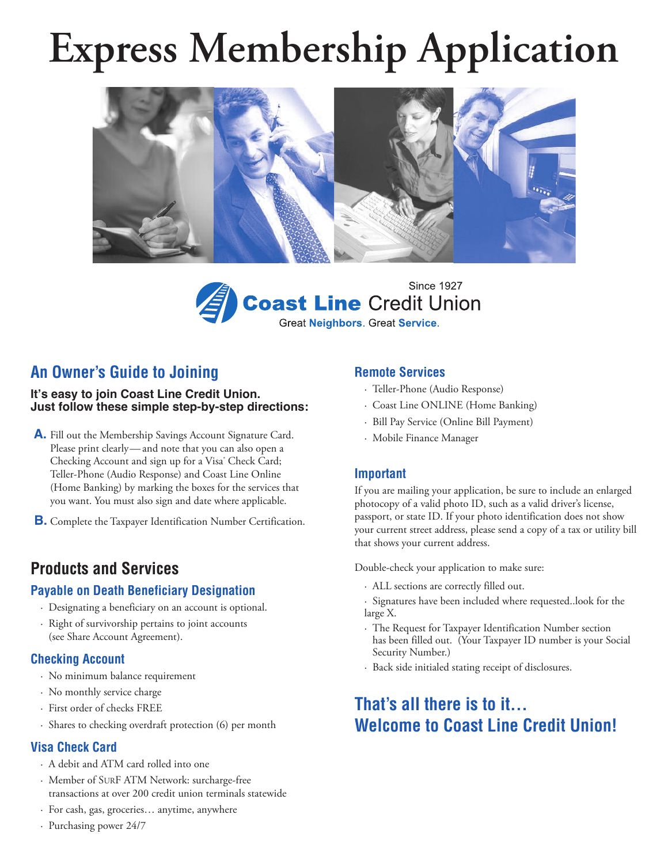# **Express Membership Application**





## **An Owner's Guide to Joining**

#### **It's easy to join Coast Line Credit Union. Just follow these simple step-by-step directions:**

- **A.** Fill out the Membership Savings Account Signature Card. Please print clearly—and note that you can also open a Checking Account and sign up for a Visa<sup>®</sup> Check Card; Teller-Phone (Audio Response) and Coast Line Online (Home Banking) by marking the boxes for the services that you want. You must also sign and date where applicable.
- **B.** Complete the Taxpayer Identification Number Certification.

## **Products and Services**

#### **Payable on Death Beneficiary Designation**

- · Designating a beneficiary on an account is optional.
- · Right of survivorship pertains to joint accounts (see Share Account Agreement).

#### **Checking Account**

- · No minimum balance requirement
- · No monthly service charge
- · First order of checks FREE
- · Shares to checking overdraft protection (6) per month

### **Visa Check Card**

- · A debit and ATM card rolled into one
- · Member of SURF ATM Network: surcharge-free transactions at over 200 credit union terminals statewide
- · For cash, gas, groceries… anytime, anywhere
- · Purchasing power 24/7

### **Remote Services**

- · Teller-Phone (Audio Response)
- · Coast Line ONLINE (Home Banking)
- · Bill Pay Service (Online Bill Payment)
- · Mobile Finance Manager

#### **Important**

If you are mailing your application, be sure to include an enlarged photocopy of a valid photo ID, such as a valid driver's license, passport, or state ID. If your photo identification does not show your current street address, please send a copy of a tax or utility bill that shows your current address.

Double-check your application to make sure:

- · ALL sections are correctly filled out.
- · Signatures have been included where requested..look for the large X.
- · The Request for Taxpayer Identification Number section has been filled out. (Your Taxpayer ID number is your Social Security Number.)
- · Back side initialed stating receipt of disclosures.

## **That's all there is to it… Welcome to Coast Line Credit Union!**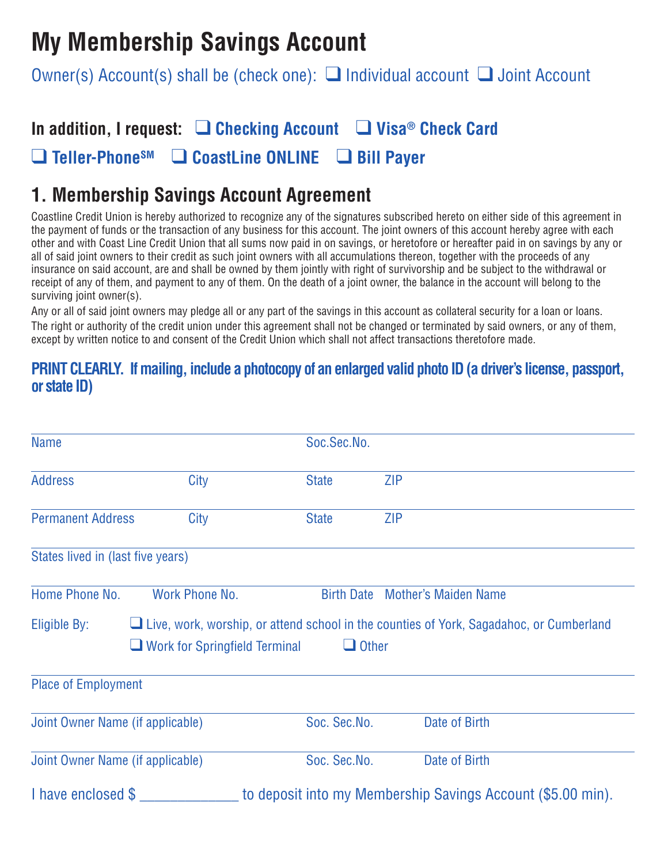# **My Membership Savings Account**

Owner(s) Account(s) shall be (check one):  $\Box$  Individual account  $\Box$  Joint Account

## **In addition, I request:** q **Checking Account** q **Visa® Check Card** q **Teller-PhoneSM** q **CoastLine ONLINE** q **Bill Payer**

## **1. Membership Savings Account Agreement**

Coastline Credit Union is hereby authorized to recognize any of the signatures subscribed hereto on either side of this agreement in the payment of funds or the transaction of any business for this account. The joint owners of this account hereby agree with each other and with Coast Line Credit Union that all sums now paid in on savings, or heretofore or hereafter paid in on savings by any or all of said joint owners to their credit as such joint owners with all accumulations thereon, together with the proceeds of any insurance on said account, are and shall be owned by them jointly with right of survivorship and be subject to the withdrawal or receipt of any of them, and payment to any of them. On the death of a joint owner, the balance in the account will belong to the surviving joint owner(s).

Any or all of said joint owners may pledge all or any part of the savings in this account as collateral security for a loan or loans. The right or authority of the credit union under this agreement shall not be changed or terminated by said owners, or any of them, except by written notice to and consent of the Credit Union which shall not affect transactions theretofore made.

## **PRINT CLEARLY. Ifmailing,include a photocopy of an enlarged valid photo ID(a driver's license, passport, or state ID)**

| <b>Name</b>                       |                                      | Soc.Sec.No.       |                                                                                                |
|-----------------------------------|--------------------------------------|-------------------|------------------------------------------------------------------------------------------------|
| <b>Address</b>                    | City                                 | <b>State</b>      | <b>ZIP</b>                                                                                     |
| <b>Permanent Address</b>          | City                                 | <b>State</b>      | <b>ZIP</b>                                                                                     |
| States lived in (last five years) |                                      |                   |                                                                                                |
| Home Phone No.                    | Work Phone No.                       | <b>Birth Date</b> | <b>Mother's Maiden Name</b>                                                                    |
| Eligible By:                      | $\Box$ Work for Springfield Terminal | $\Box$ Other      | $\Box$ Live, work, worship, or attend school in the counties of York, Sagadahoc, or Cumberland |
| <b>Place of Employment</b>        |                                      |                   |                                                                                                |
| Joint Owner Name (if applicable)  |                                      | Soc. Sec.No.      | Date of Birth                                                                                  |
| Joint Owner Name (if applicable)  |                                      | Soc. Sec.No.      | Date of Birth                                                                                  |
| I have enclosed \$                |                                      |                   | to deposit into my Membership Savings Account (\$5.00 min).                                    |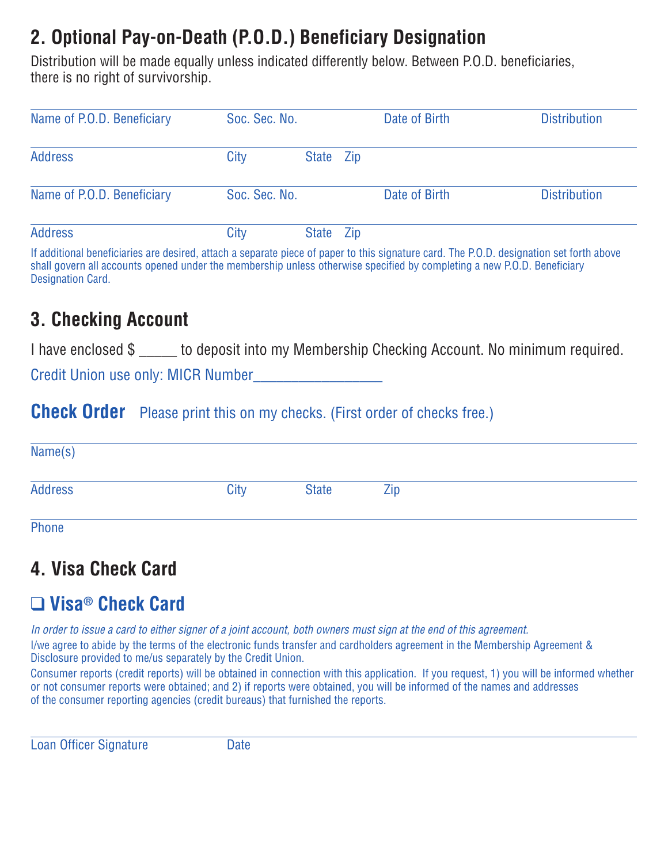# **2. Optional Pay-on-Death (P.O.D.) Beneficiary Designation**

Distribution will be made equally unless indicated differently below. Between P.O.D. beneficiaries, there is no right of survivorship.

| Name of P.O.D. Beneficiary | Soc. Sec. No. |           | Date of Birth | <b>Distribution</b> |
|----------------------------|---------------|-----------|---------------|---------------------|
| <b>Address</b>             | City          | State Zip |               |                     |
| Name of P.O.D. Beneficiary | Soc. Sec. No. |           | Date of Birth | <b>Distribution</b> |
| <b>Address</b>             | City          | State Zip |               |                     |

If additional beneficiaries are desired, attach a separate piece of paper to this signature card. The P.O.D. designation set forth above shall govern all accounts opened under the membership unless otherwise specified by completing a new P.O.D. Beneficiary Designation Card.

## **3. Checking Account**

I have enclosed \$ \_\_\_\_\_ to deposit into my Membership Checking Account. No minimum required.

Credit Union use only: MICR Number\_\_\_\_\_\_\_\_\_\_\_\_\_\_\_\_\_

## **Check Order** Please print this on my checks. (First order of checks free.)

| Name(s)        |      |              |     |  |
|----------------|------|--------------|-----|--|
| <b>Address</b> | City | <b>State</b> | Zip |  |
| Phone          |      |              |     |  |

# **4. Visa Check Card**

# q **Visa® Check Card**

In order to issue a card to either signer of a joint account, both owners must sign at the end of this agreement. I/we agree to abide by the terms of the electronic funds transfer and cardholders agreement in the Membership Agreement & Disclosure provided to me/us separately by the Credit Union.

Consumer reports (credit reports) will be obtained in connection with this application. If you request, 1) you will be informed whether or not consumer reports were obtained; and 2) if reports were obtained, you will be informed of the names and addresses of the consumer reporting agencies (credit bureaus) that furnished the reports.

Loan Officer Signature Date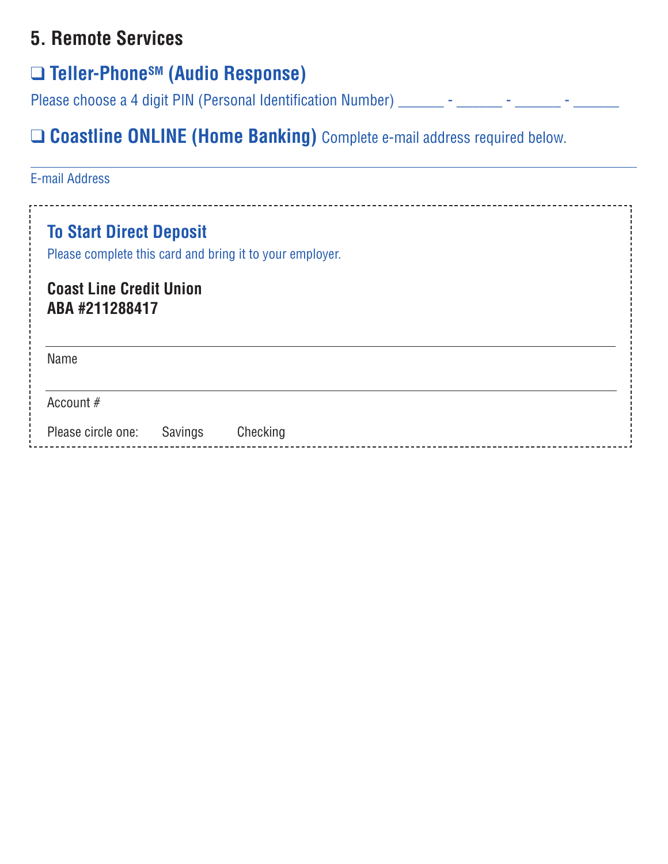# **5. Remote Services**

# q **Teller-PhoneSM (Audio Response)**

Please choose a 4 digit PIN (Personal Identification Number) \_\_\_\_\_\_\_ - \_\_\_\_\_\_\_ - \_\_\_\_\_\_\_ - \_\_\_\_\_\_\_

# q **Coastline ONLINE (Home Banking)** Complete e-mail address required below.

| <b>E-mail Address</b>                            |         |                                                          |  |  |
|--------------------------------------------------|---------|----------------------------------------------------------|--|--|
| <b>To Start Direct Deposit</b>                   |         | Please complete this card and bring it to your employer. |  |  |
| <b>Coast Line Credit Union</b><br>ABA #211288417 |         |                                                          |  |  |
| Name                                             |         |                                                          |  |  |
| Account #                                        |         |                                                          |  |  |
| Please circle one:                               | Savings | Checking                                                 |  |  |